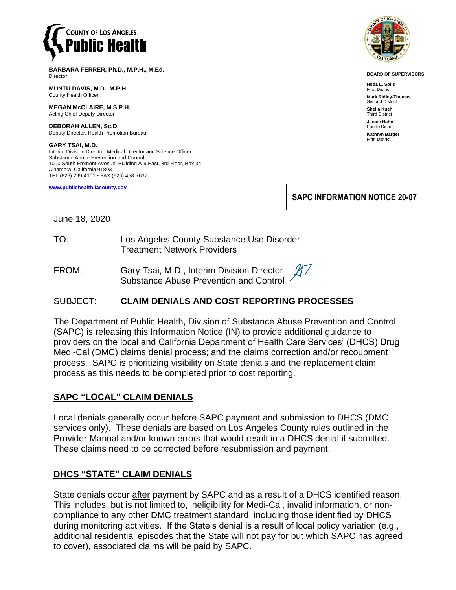

**BARBARA FERRER, Ph.D., M.P.H., M.Ed.** Director

**MUNTU DAVIS, M.D., M.P.H.** County Health Officer

**MEGAN McCLAIRE, M.S.P.H.** Acting Chief Deputy Director

**DEBORAH ALLEN, Sc.D.** Deputy Director, Health Promotion Bureau

**GARY TSAI, M.D.** Interim Division Director, Medical Director and Science Officer Substance Abuse Prevention and Control 1000 South Fremont Avenue, Building A-9 East, 3rd Floor, Box 34 Alhambra, California 91803 TEL (626) 299-4101 • FAX (626) 458-7637

**[www.publichealth.lacounty.gov](http://www.publichealth.lacounty.gov/)**



**BOARD OF SUPERVISORS**

**Hilda L. Solis** First District **Mark Ridley-Thomas** Second Dis **Sheila Kuehl** Third District **Janice Hahn** Fourth District **Kathryn Barger** Fifth District

**SAPC INFORMATION NOTICE 20-07**

June 18, 2020

TO: Los Angeles County Substance Use Disorder Treatment Network Providers

FROM: Gary Tsai, M.D., Interim Division Director Substance Abuse Prevention and Control

# SUBJECT: **CLAIM DENIALS AND COST REPORTING PROCESSES**

The Department of Public Health, Division of Substance Abuse Prevention and Control (SAPC) is releasing this Information Notice (IN) to provide additional guidance to providers on the local and California Department of Health Care Services' (DHCS) Drug Medi-Cal (DMC) claims denial process; and the claims correction and/or recoupment process. SAPC is prioritizing visibility on State denials and the replacement claim process as this needs to be completed prior to cost reporting.

## **SAPC "LOCAL" CLAIM DENIALS**

Local denials generally occur before SAPC payment and submission to DHCS (DMC services only). These denials are based on Los Angeles County rules outlined in the Provider Manual and/or known errors that would result in a DHCS denial if submitted. These claims need to be corrected before resubmission and payment.

## **DHCS "STATE" CLAIM DENIALS**

State denials occur after payment by SAPC and as a result of a DHCS identified reason. This includes, but is not limited to, ineligibility for Medi-Cal, invalid information, or noncompliance to any other DMC treatment standard, including those identified by DHCS during monitoring activities. If the State's denial is a result of local policy variation (e.g., additional residential episodes that the State will not pay for but which SAPC has agreed to cover), associated claims will be paid by SAPC.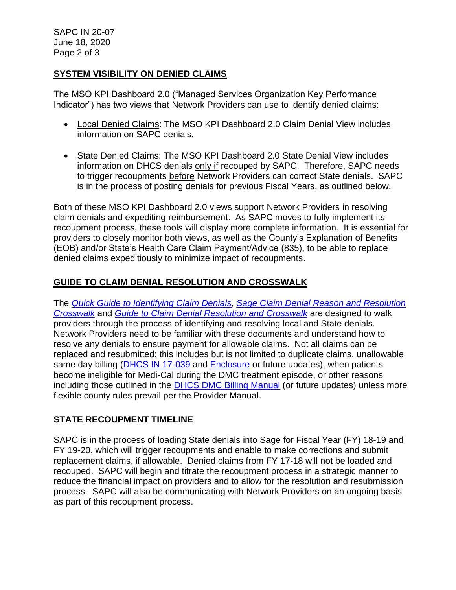## **SYSTEM VISIBILITY ON DENIED CLAIMS**

The MSO KPI Dashboard 2.0 ("Managed Services Organization Key Performance Indicator") has two views that Network Providers can use to identify denied claims:

- Local Denied Claims: The MSO KPI Dashboard 2.0 Claim Denial View includes information on SAPC denials.
- State Denied Claims: The MSO KPI Dashboard 2.0 State Denial View includes information on DHCS denials only if recouped by SAPC. Therefore, SAPC needs to trigger recoupments before Network Providers can correct State denials. SAPC is in the process of posting denials for previous Fiscal Years, as outlined below.

Both of these MSO KPI Dashboard 2.0 views support Network Providers in resolving claim denials and expediting reimbursement. As SAPC moves to fully implement its recoupment process, these tools will display more complete information. It is essential for providers to closely monitor both views, as well as the County's Explanation of Benefits (EOB) and/or State's Health Care Claim Payment/Advice (835), to be able to replace denied claims expeditiously to minimize impact of recoupments.

# **GUIDE TO CLAIM DENIAL RESOLUTION AND CROSSWALK**

The *[Quick Guide to Identifying Claim Denials,](http://publichealth.lacounty.gov/sapc/NetworkProviders/FinanceForms/DenialCrosswalk/QuickGuideIdentifyingDenials.pdf) [Sage Claim Denial Reason and Resolution](http://publichealth.lacounty.gov/sapc/NetworkProviders/FinanceForms/DenialCrosswalk/ClaimDenialReasonAndResolutionCrosswalkForProviders.pdf)  [Crosswalk](http://publichealth.lacounty.gov/sapc/NetworkProviders/FinanceForms/DenialCrosswalk/ClaimDenialReasonAndResolutionCrosswalkForProviders.pdf)* and *[Guide to Claim Denial Resolution](http://publichealth.lacounty.gov/sapc/NetworkProviders/FinanceForms/DenialCrosswalk/DenialCrosswalkInstructionsVersion2.0.pdf) and Crosswalk* are designed to walk providers through the process of identifying and resolving local and State denials. Network Providers need to be familiar with these documents and understand how to resolve any denials to ensure payment for allowable claims. Not all claims can be replaced and resubmitted; this includes but is not limited to duplicate claims, unallowable same day billing [\(DHCS IN 17-039](https://www.dhcs.ca.gov/formsandpubs/ADPBulletins/MHSUDS%20Information%20Notice%2017-039%20-%20Same%20Day%20Billing%20Requirements.pdf) and [Enclosure](https://www.dhcs.ca.gov/formsandpubs/Documents/MHSUDS%20Information%20Notices/MHSUDS_IN_17-023_Enc1.pdf) or future updates), when patients become ineligible for Medi-Cal during the DMC treatment episode, or other reasons including those outlined in the **DHCS DMC Billing Manual** (or future updates) unless more flexible county rules prevail per the Provider Manual.

## **STATE RECOUPMENT TIMELINE**

SAPC is in the process of loading State denials into Sage for Fiscal Year (FY) 18-19 and FY 19-20, which will trigger recoupments and enable to make corrections and submit replacement claims, if allowable. Denied claims from FY 17-18 will not be loaded and recouped. SAPC will begin and titrate the recoupment process in a strategic manner to reduce the financial impact on providers and to allow for the resolution and resubmission process. SAPC will also be communicating with Network Providers on an ongoing basis as part of this recoupment process.